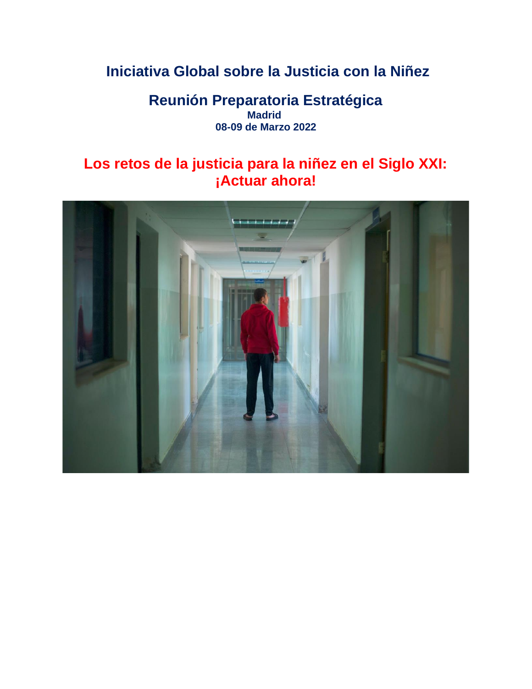# **Iniciativa Global sobre la Justicia con la Niñez**

## **Reunión Preparatoria Estratégica Madrid 08-09 de Marzo 2022**

## **Los retos de la justicia para la niñez en el Siglo XXI: ¡Actuar ahora!**

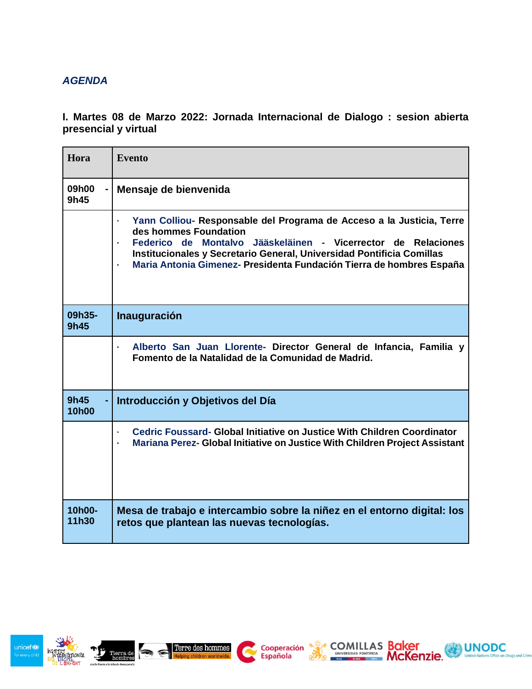### *AGENDA*

**I. Martes 08 de Marzo 2022: Jornada Internacional de Dialogo : sesion abierta presencial y virtual**

| Hora                 | <b>Evento</b>                                                                                                                                                                                                                                                                                                    |
|----------------------|------------------------------------------------------------------------------------------------------------------------------------------------------------------------------------------------------------------------------------------------------------------------------------------------------------------|
| 09h00<br>9h45        | Mensaje de bienvenida                                                                                                                                                                                                                                                                                            |
|                      | Yann Colliou- Responsable del Programa de Acceso a la Justicia, Terre<br>des hommes Foundation<br>Federico de Montalvo Jääskeläinen - Vicerrector de Relaciones<br>Institucionales y Secretario General, Universidad Pontificia Comillas<br>Maria Antonia Gimenez- Presidenta Fundación Tierra de hombres España |
| 09h35-<br>9h45       | <b>Inauguración</b>                                                                                                                                                                                                                                                                                              |
|                      | Alberto San Juan Llorente- Director General de Infancia, Familia y<br>Fomento de la Natalidad de la Comunidad de Madrid.                                                                                                                                                                                         |
| 9h45<br><b>10h00</b> | Introducción y Objetivos del Día                                                                                                                                                                                                                                                                                 |
|                      | Cedric Foussard- Global Initiative on Justice With Children Coordinator<br>Mariana Perez- Global Initiative on Justice With Children Project Assistant                                                                                                                                                           |
| 10h00-<br>11h30      | Mesa de trabajo e intercambio sobre la niñez en el entorno digital: los<br>retos que plantean las nuevas tecnologías.                                                                                                                                                                                            |







COMILLAS Baker<br>
McKenzie. International Processing McKenzie. International Processing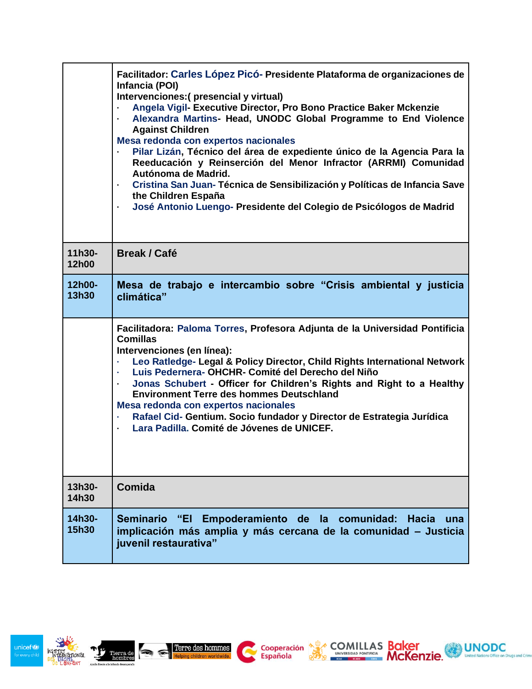|                 | Facilitador: Carles López Picó- Presidente Plataforma de organizaciones de<br>Infancia (POI)<br>Intervenciones: (presencial y virtual)<br>Angela Vigil- Executive Director, Pro Bono Practice Baker Mckenzie<br>Alexandra Martins- Head, UNODC Global Programme to End Violence<br>$\bullet$<br><b>Against Children</b><br>Mesa redonda con expertos nacionales<br>Pilar Lizán, Técnico del área de expediente único de la Agencia Para la<br>Reeducación y Reinserción del Menor Infractor (ARRMI) Comunidad<br>Autónoma de Madrid.<br>Cristina San Juan-Técnica de Sensibilización y Políticas de Infancia Save<br>$\bullet$<br>the Children España<br>José Antonio Luengo- Presidente del Colegio de Psicólogos de Madrid<br>$\bullet$ |
|-----------------|-------------------------------------------------------------------------------------------------------------------------------------------------------------------------------------------------------------------------------------------------------------------------------------------------------------------------------------------------------------------------------------------------------------------------------------------------------------------------------------------------------------------------------------------------------------------------------------------------------------------------------------------------------------------------------------------------------------------------------------------|
| 11h30-<br>12h00 | <b>Break / Café</b>                                                                                                                                                                                                                                                                                                                                                                                                                                                                                                                                                                                                                                                                                                                       |
| 12h00-<br>13h30 | Mesa de trabajo e intercambio sobre "Crisis ambiental y justicia<br>climática"                                                                                                                                                                                                                                                                                                                                                                                                                                                                                                                                                                                                                                                            |
|                 | Facilitadora: Paloma Torres, Profesora Adjunta de la Universidad Pontificia<br><b>Comillas</b><br>Intervenciones (en línea):<br>Leo Ratledge- Legal & Policy Director, Child Rights International Network<br>$\bullet$<br>Luis Pedernera-OHCHR- Comité del Derecho del Niño<br>$\bullet$<br>Jonas Schubert - Officer for Children's Rights and Right to a Healthy<br>$\ddot{\phantom{0}}$<br><b>Environment Terre des hommes Deutschland</b><br>Mesa redonda con expertos nacionales<br>Rafael Cid- Gentium. Socio fundador y Director de Estrategia Jurídica<br>$\bullet$<br>Lara Padilla, Comité de Jóvenes de UNICEF.<br>$\bullet$                                                                                                     |
| 13h30-<br>14h30 | Comida                                                                                                                                                                                                                                                                                                                                                                                                                                                                                                                                                                                                                                                                                                                                    |
| 14h30-<br>15h30 | "El Empoderamiento de la comunidad: Hacia<br><b>Seminario</b><br>una<br>implicación más amplia y más cercana de la comunidad - Justicia<br>juvenil restaurativa"                                                                                                                                                                                                                                                                                                                                                                                                                                                                                                                                                                          |

 $\mathbf{C}$ 

Cooperación Salvespa POMILLAS Baker<br>Española Española POMILLAS McKenzie. Museum de UNODC



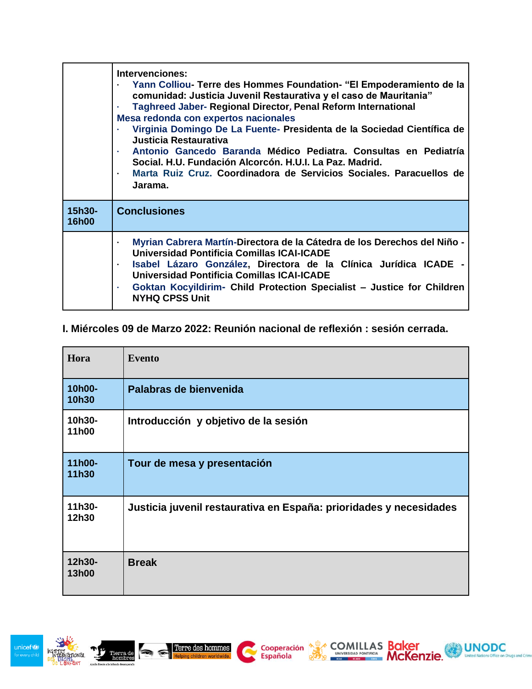|                        | Intervenciones:<br>Yann Colliou- Terre des Hommes Foundation- "El Empoderamiento de la<br>comunidad: Justicia Juvenil Restaurativa y el caso de Mauritania"<br><b>Taghreed Jaber- Regional Director, Penal Reform International</b><br>Mesa redonda con expertos nacionales<br>Virginia Domingo De La Fuente- Presidenta de la Sociedad Científica de<br>Justicia Restaurativa<br>Antonio Gancedo Baranda Médico Pediatra. Consultas en Pediatría<br>Social. H.U. Fundación Alcorcón. H.U.I. La Paz. Madrid.<br>Marta Ruiz Cruz. Coordinadora de Servicios Sociales. Paracuellos de<br>Jarama. |
|------------------------|------------------------------------------------------------------------------------------------------------------------------------------------------------------------------------------------------------------------------------------------------------------------------------------------------------------------------------------------------------------------------------------------------------------------------------------------------------------------------------------------------------------------------------------------------------------------------------------------|
| 15h30-<br><b>16h00</b> | <b>Conclusiones</b>                                                                                                                                                                                                                                                                                                                                                                                                                                                                                                                                                                            |
|                        | Myrian Cabrera Martín-Directora de la Cátedra de los Derechos del Niño -<br>Universidad Pontificia Comillas ICAI-ICADE<br>Isabel Lázaro González, Directora de la Clínica Jurídica ICADE -<br><b>Universidad Pontificia Comillas ICAI-ICADE</b><br>Goktan Kocyildirim- Child Protection Specialist - Justice for Children<br><b>NYHQ CPSS Unit</b>                                                                                                                                                                                                                                             |

### **I. Miércoles 09 de Marzo 2022: Reunión nacional de reflexión : sesión cerrada.**

| Hora            | <b>Evento</b>                                                      |
|-----------------|--------------------------------------------------------------------|
| 10h00-<br>10h30 | Palabras de bienvenida                                             |
| 10h30-<br>11h00 | Introducción y objetivo de la sesión                               |
| 11h00-<br>11h30 | Tour de mesa y presentación                                        |
| 11h30-<br>12h30 | Justicia juvenil restaurativa en España: prioridades y necesidades |
| 12h30-<br>13h00 | <b>Break</b>                                                       |

Cooperación <br /> **Española** 

UNODC

Kenzie.

ENTEREDAD PONTECIA SON ANGELES SON ELECTRICAL MEDIANT MONEY



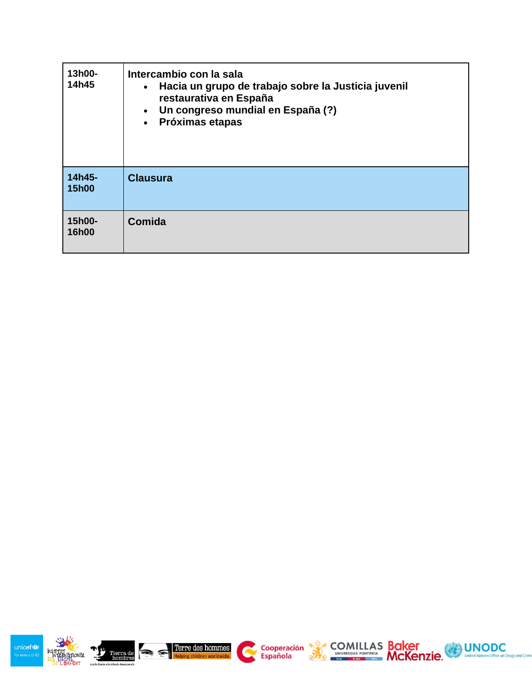| 13h00-<br>14h45        | Intercambio con la sala<br>Hacia un grupo de trabajo sobre la Justicia juvenil<br>$\bullet$<br>restaurativa en España<br>Un congreso mundial en España (?)<br>$\bullet$<br>Próximas etapas<br>$\bullet$ |
|------------------------|---------------------------------------------------------------------------------------------------------------------------------------------------------------------------------------------------------|
| 14h45-<br><b>15h00</b> | <b>Clausura</b>                                                                                                                                                                                         |
| 15h00-<br>16h00        | Comida                                                                                                                                                                                                  |



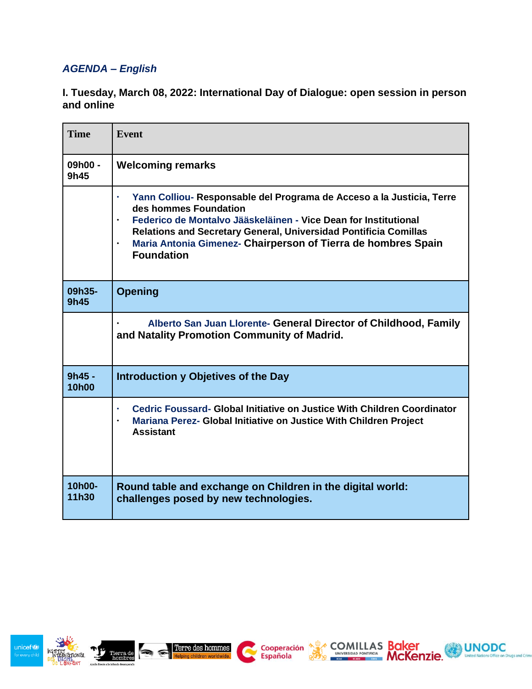## *AGENDA – English*

#### **I. Tuesday, March 08, 2022: International Day of Dialogue: open session in person and online**

| <b>Time</b>              | <b>Event</b>                                                                                                                                                                                                                                                                                                                                                 |
|--------------------------|--------------------------------------------------------------------------------------------------------------------------------------------------------------------------------------------------------------------------------------------------------------------------------------------------------------------------------------------------------------|
| 09h00 -<br>9h45          | <b>Welcoming remarks</b>                                                                                                                                                                                                                                                                                                                                     |
|                          | Yann Colliou- Responsable del Programa de Acceso a la Justicia, Terre<br>des hommes Foundation<br>Federico de Montalvo Jääskeläinen - Vice Dean for Institutional<br>$\bullet$<br><b>Relations and Secretary General, Universidad Pontificia Comillas</b><br>Maria Antonia Gimenez- Chairperson of Tierra de hombres Spain<br>$\bullet$<br><b>Foundation</b> |
| 09h35-<br>9h45           | <b>Opening</b>                                                                                                                                                                                                                                                                                                                                               |
|                          | Alberto San Juan Llorente- General Director of Childhood, Family<br>and Natality Promotion Community of Madrid.                                                                                                                                                                                                                                              |
| $9h45 -$<br><b>10h00</b> | Introduction y Objetives of the Day                                                                                                                                                                                                                                                                                                                          |
|                          | Cedric Foussard- Global Initiative on Justice With Children Coordinator<br>$\bullet$<br>Mariana Perez- Global Initiative on Justice With Children Project<br><b>Assistant</b>                                                                                                                                                                                |
| 10h00-<br>11h30          | Round table and exchange on Children in the digital world:<br>challenges posed by new technologies.                                                                                                                                                                                                                                                          |







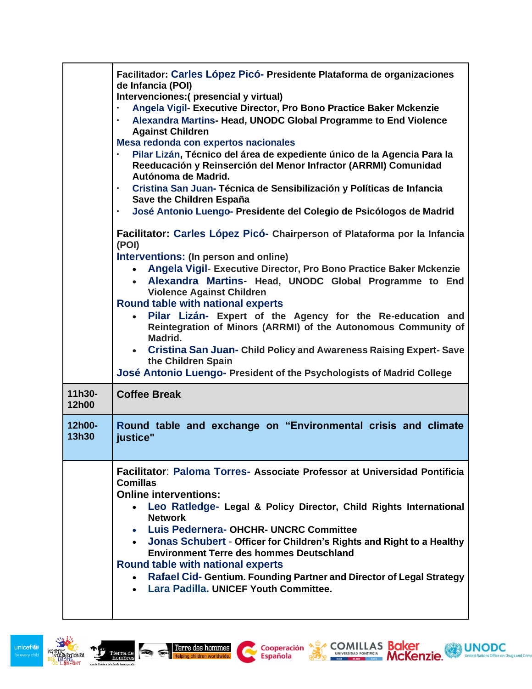|                 | Facilitador: Carles López Picó- Presidente Plataforma de organizaciones<br>de Infancia (POI)<br>Intervenciones: (presencial y virtual)<br>Angela Vigil- Executive Director, Pro Bono Practice Baker Mckenzie<br>$\bullet$<br>Alexandra Martins- Head, UNODC Global Programme to End Violence<br>$\bullet$<br><b>Against Children</b><br>Mesa redonda con expertos nacionales<br>Pilar Lizán, Técnico del área de expediente único de la Agencia Para la<br>$\bullet$<br>Reeducación y Reinserción del Menor Infractor (ARRMI) Comunidad<br>Autónoma de Madrid.<br>Cristina San Juan-Técnica de Sensibilización y Políticas de Infancia<br>$\bullet$<br>Save the Children España<br>José Antonio Luengo- Presidente del Colegio de Psicólogos de Madrid<br>$\bullet$<br>Facilitator: Carles López Picó- Chairperson of Plataforma por la Infancia<br>(POI)<br>Interventions: (In person and online)<br>Angela Vigil- Executive Director, Pro Bono Practice Baker Mckenzie<br>$\bullet$<br>• Alexandra Martins- Head, UNODC Global Programme to End<br><b>Violence Against Children</b><br><b>Round table with national experts</b><br>Pilar Lizán- Expert of the Agency for the Re-education and<br>Reintegration of Minors (ARRMI) of the Autonomous Community of<br>Madrid.<br>• Cristina San Juan- Child Policy and Awareness Raising Expert-Save<br>the Children Spain<br>José Antonio Luengo- President of the Psychologists of Madrid College |
|-----------------|----------------------------------------------------------------------------------------------------------------------------------------------------------------------------------------------------------------------------------------------------------------------------------------------------------------------------------------------------------------------------------------------------------------------------------------------------------------------------------------------------------------------------------------------------------------------------------------------------------------------------------------------------------------------------------------------------------------------------------------------------------------------------------------------------------------------------------------------------------------------------------------------------------------------------------------------------------------------------------------------------------------------------------------------------------------------------------------------------------------------------------------------------------------------------------------------------------------------------------------------------------------------------------------------------------------------------------------------------------------------------------------------------------------------------------------------------|
| 11h30-<br>12h00 | <b>Coffee Break</b>                                                                                                                                                                                                                                                                                                                                                                                                                                                                                                                                                                                                                                                                                                                                                                                                                                                                                                                                                                                                                                                                                                                                                                                                                                                                                                                                                                                                                                |
| 12h00-<br>13h30 | Round table and exchange on "Environmental crisis and climate<br>justice"                                                                                                                                                                                                                                                                                                                                                                                                                                                                                                                                                                                                                                                                                                                                                                                                                                                                                                                                                                                                                                                                                                                                                                                                                                                                                                                                                                          |
|                 | Facilitator: Paloma Torres- Associate Professor at Universidad Pontificia<br><b>Comillas</b><br><b>Online interventions:</b><br>Leo Ratledge- Legal & Policy Director, Child Rights International<br><b>Network</b><br>• Luis Pedernera-OHCHR- UNCRC Committee<br>• Jonas Schubert - Officer for Children's Rights and Right to a Healthy<br><b>Environment Terre des hommes Deutschland</b><br>Round table with national experts<br>Rafael Cid- Gentium. Founding Partner and Director of Legal Strategy<br>• Lara Padilla, UNICEF Youth Committee.                                                                                                                                                                                                                                                                                                                                                                                                                                                                                                                                                                                                                                                                                                                                                                                                                                                                                               |

Española de COMILLAS Baker<br>Española de Española de Comineira McKenzie. UNODC



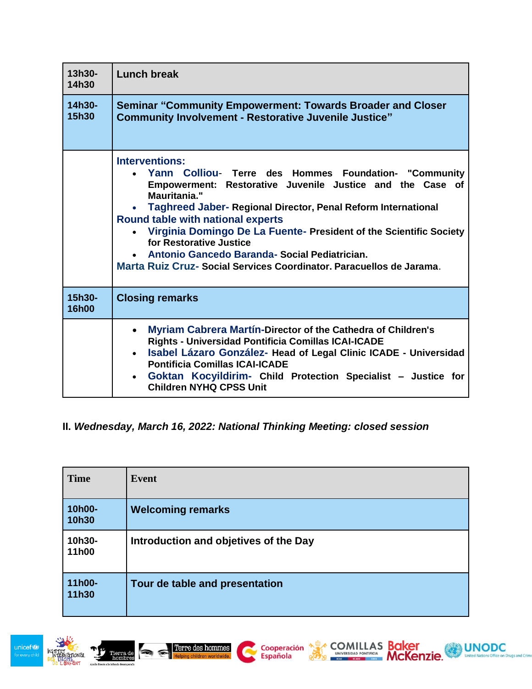| 13h30-<br>14h30        | <b>Lunch break</b>                                                                                                                                                                                                                                                                                                                                                                                                                                                                                   |
|------------------------|------------------------------------------------------------------------------------------------------------------------------------------------------------------------------------------------------------------------------------------------------------------------------------------------------------------------------------------------------------------------------------------------------------------------------------------------------------------------------------------------------|
| 14h30-<br><b>15h30</b> | <b>Seminar "Community Empowerment: Towards Broader and Closer</b><br><b>Community Involvement - Restorative Juvenile Justice"</b>                                                                                                                                                                                                                                                                                                                                                                    |
|                        | <b>Interventions:</b><br>Yann Colliou- Terre des Hommes Foundation- "Community<br>Empowerment: Restorative Juvenile Justice and the Case of<br>Mauritania."<br>Taghreed Jaber- Regional Director, Penal Reform International<br><b>Round table with national experts</b><br>Virginia Domingo De La Fuente- President of the Scientific Society<br>for Restorative Justice<br>• Antonio Gancedo Baranda- Social Pediatrician.<br>Marta Ruiz Cruz- Social Services Coordinator. Paracuellos de Jarama. |
| 15h30-<br><b>16h00</b> | <b>Closing remarks</b>                                                                                                                                                                                                                                                                                                                                                                                                                                                                               |
|                        | Myriam Cabrera Martín-Director of the Cathedra of Children's<br>Rights - Universidad Pontificia Comillas ICAI-ICADE<br>Isabel Lázaro González- Head of Legal Clinic ICADE - Universidad<br>$\bullet$<br><b>Pontificia Comillas ICAI-ICADE</b><br>Goktan Kocyildirim- Child Protection Specialist - Justice for<br>$\bullet$<br><b>Children NYHQ CPSS Unit</b>                                                                                                                                        |

### **II.** *Wednesday, March 16, 2022: National Thinking Meeting: closed session*

| <b>Time</b>     | <b>Event</b>                          |
|-----------------|---------------------------------------|
| 10h00-<br>10h30 | <b>Welcoming remarks</b>              |
| 10h30-<br>11h00 | Introduction and objetives of the Day |
| 11h00-<br>11h30 | Tour de table and presentation        |

COMILLAS Baker

UNODC